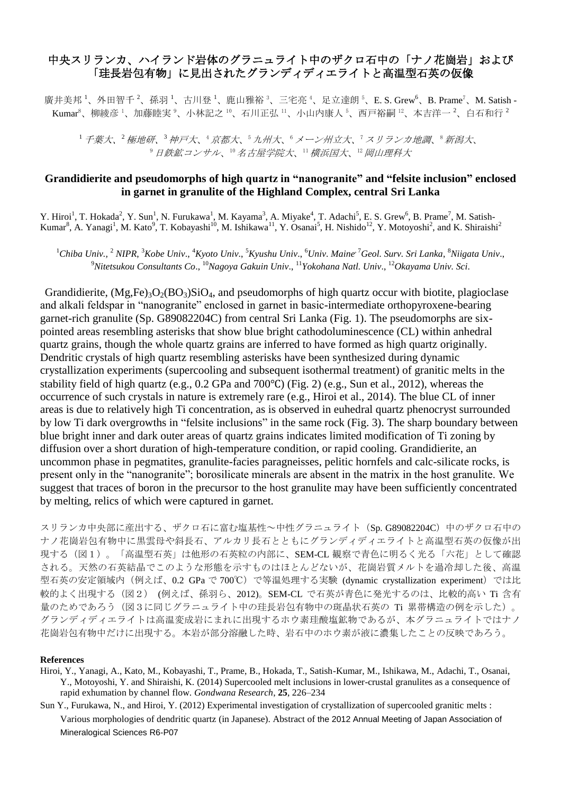## 中央スリランカ、ハイランド岩体のグラニュライト中のザクロ石中の「ナノ花崗岩」および 「珪長岩包有物」に見出されたグランディディエライトと高温型石英の仮像

廣井美邦<sup>1</sup>、外田智千<sup>2</sup>、孫羽<sup>1</sup>、古川登<sup>1</sup>、鹿山雅裕<sup>3</sup>、三宅亮<sup>4</sup>、足立達朗<sup>5</sup>、E. S. Grew<sup>6</sup>、B. Prame<sup>7</sup>、M. Satish - $K$ umar $^8$ 、柳綾彦<sup>1</sup>、加藤睦実<sup>9</sup>、小林記之 <sup>10</sup>、石川正弘 <sup>11</sup>、小山内康人 <sup>5</sup>、西戸裕嗣 <sup>12</sup>、本吉洋一 <sup>2</sup>、白石和行 <sup>2</sup>

<sup>1</sup> 千葉大、<sup>2</sup> 極地研、<sup>3</sup> 神戸大、<sup>4</sup> 京都大、<sup>5</sup> 九州大、<sup>6</sup> メーン州立大、<sup>7</sup> スリランカ地調、<sup>8</sup> 新潟大、 9日鉄鉱コンサル、10名古屋学院大、11横浜国大、12岡山理科大

## **Grandidierite and pseudomorphs of high quartz in "nanogranite" and "felsite inclusion" enclosed in garnet in granulite of the Highland Complex, central Sri Lanka**

Y. Hiroi<sup>1</sup>, T. Hokada<sup>2</sup>, Y. Sun<sup>1</sup>, N. Furukawa<sup>1</sup>, M. Kayama<sup>3</sup>, A. Miyake<sup>4</sup>, T. Adachi<sup>5</sup>, E. S. Grew<sup>6</sup>, B. Prame<sup>7</sup>, M. Satish-Kumar<sup>8</sup>, A. Yanagi<sup>1</sup>, M. Kato<sup>9</sup>, T. Kobayashi<sup>10</sup>, M. Ishikawa<sup>11</sup>, Y. Osanai<sup>5</sup>, H. Nishido<sup>12</sup>, Y. Motoyoshi<sup>2</sup>, and K. Shiraishi<sup>2</sup>

<sup>1</sup>Chiba Univ., <sup>2</sup> NIPR, <sup>3</sup>Kobe Univ., <sup>4</sup>Kyoto Univ., <sup>5</sup>Kyushu Univ., <sup>6</sup>Univ. Maine<sup>, 7</sup>Geol. Surv. Sri Lanka, <sup>8</sup>Niigata Univ., <sup>9</sup>*Nitetsukou Consultants Co*., <sup>10</sup>*Nagoya Gakuin Univ*., <sup>11</sup>*Yokohana Natl. Univ*., <sup>12</sup>*Okayama Univ. Sci*.

Grandidierite,  $(Mg,Fe)_{3}O_{2}(BO_{3})SiO_{4}$ , and pseudomorphs of high quartz occur with biotite, plagioclase and alkali feldspar in "nanogranite" enclosed in garnet in basic-intermediate orthopyroxene-bearing garnet-rich granulite (Sp. G89082204C) from central Sri Lanka (Fig. 1). The pseudomorphs are sixpointed areas resembling asterisks that show blue bright cathodoluminescence (CL) within anhedral quartz grains, though the whole quartz grains are inferred to have formed as high quartz originally. Dendritic crystals of high quartz resembling asterisks have been synthesized during dynamic crystallization experiments (supercooling and subsequent isothermal treatment) of granitic melts in the stability field of high quartz (e.g., 0.2 GPa and 700℃) (Fig. 2) (e.g., Sun et al., 2012), whereas the occurrence of such crystals in nature is extremely rare (e.g., Hiroi et al., 2014). The blue CL of inner areas is due to relatively high Ti concentration, as is observed in euhedral quartz phenocryst surrounded by low Ti dark overgrowths in "felsite inclusions" in the same rock (Fig. 3). The sharp boundary between blue bright inner and dark outer areas of quartz grains indicates limited modification of Ti zoning by diffusion over a short duration of high-temperature condition, or rapid cooling. Grandidierite, an uncommon phase in pegmatites, granulite-facies paragneisses, pelitic hornfels and calc-silicate rocks, is present only in the "nanogranite"; borosilicate minerals are absent in the matrix in the host granulite. We suggest that traces of boron in the precursor to the host granulite may have been sufficiently concentrated by melting, relics of which were captured in garnet.

スリランカ中央部に産出する、ザクロ石に富む塩基性~中性グラニュライト (Sp. G89082204C) 中のザクロ石中の ナノ花崗岩包有物中に黒雲母や斜長石、アルカリ長石とともにグランディディエライトと高温型石英の仮像が出 現する(図1)。「高温型石英」は他形の石英粒の内部に、SEM-CL 観察で青色に明るく光る「六花」として確認 される。天然の石英結晶でこのような形態を示すものはほとんどないが、花崗岩質メルトを過冷却した後、高温 型石英の安定領域内 (例えば、0.2 GPa で 700℃) で等温処理する実験 (dynamic crystallization experiment) では比 較的よく出現する(図2) (例えば、孫羽ら、2012)。SEM-CL で石英が青色に発光するのは、比較的高い Ti 含有 量のためであろう(図3に同じグラニュライト中の珪長岩包有物中の斑晶状石英の Ti 累帯構造の例を示した)。 グランディディエライトは高温変成岩にまれに出現するホウ素珪酸塩鉱物であるが、本グラニュライトではナノ 花崗岩包有物中だけに出現する。本岩が部分溶融した時、岩石中のホウ素が液に濃集したことの反映であろう。

## **References**

Hiroi, Y., Yanagi, A., Kato, M., Kobayashi, T., Prame, B., Hokada, T., Satish-Kumar, M., Ishikawa, M., Adachi, T., Osanai, Y., Motoyoshi, Y. and Shiraishi, K. (2014) Supercooled melt inclusions in lower-crustal granulites as a consequence of rapid exhumation by channel flow. *Gondwana Research*, **25**, 226–234

Sun Y., Furukawa, N., and Hiroi, Y. (2012) Experimental investigation of crystallization of supercooled granitic melts : Various morphologies of dendritic quartz (in Japanese). Abstract of the 2012 Annual Meeting of Japan Association of Mineralogical Sciences R6-P07